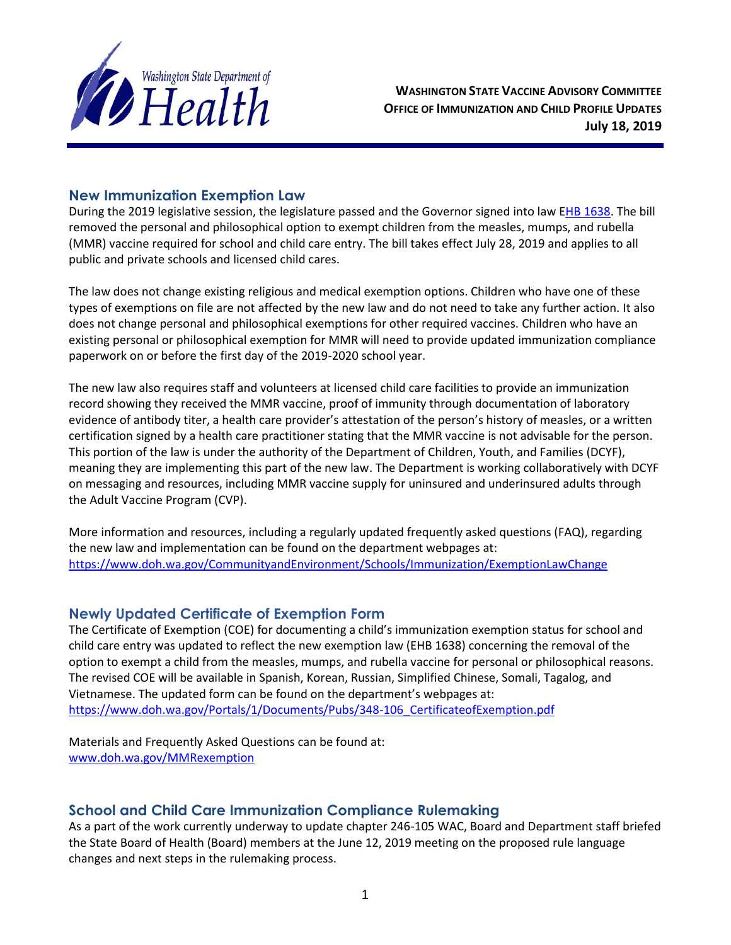

**WASHINGTON STATE VACCINE ADVISORY COMMITTEE OFFICE OF IMMUNIZATION AND CHILD PROFILE UPDATES July 18, 2019**

### **New Immunization Exemption Law**

During the 2019 legislative session, the legislature passed and the Governor signed into law [EHB 1638.](http://lawfilesext.leg.wa.gov/biennium/2019-20/Pdf/Amendments/Senate/1638.E%20AMS%20HLTC%20S3367.1.pdf) The bill removed the personal and philosophical option to exempt children from the measles, mumps, and rubella (MMR) vaccine required for school and child care entry. The bill takes effect July 28, 2019 and applies to all public and private schools and licensed child cares.

The law does not change existing religious and medical exemption options. Children who have one of these types of exemptions on file are not affected by the new law and do not need to take any further action. It also does not change personal and philosophical exemptions for other required vaccines. Children who have an existing personal or philosophical exemption for MMR will need to provide updated immunization compliance paperwork on or before the first day of the 2019-2020 school year.

The new law also requires staff and volunteers at licensed child care facilities to provide an immunization record showing they received the MMR vaccine, proof of immunity through documentation of laboratory evidence of antibody titer, a health care provider's attestation of the person's history of measles, or a written certification signed by a health care practitioner stating that the MMR vaccine is not advisable for the person. This portion of the law is under the authority of the Department of Children, Youth, and Families (DCYF), meaning they are implementing this part of the new law. The Department is working collaboratively with DCYF on messaging and resources, including MMR vaccine supply for uninsured and underinsured adults through the Adult Vaccine Program (CVP).

More information and resources, including a regularly updated frequently asked questions (FAQ), regarding the new law and implementation can be found on the department webpages at: <https://www.doh.wa.gov/CommunityandEnvironment/Schools/Immunization/ExemptionLawChange>

### **Newly Updated Certificate of Exemption Form**

The Certificate of Exemption (COE) for documenting a child's immunization exemption status for school and child care entry was updated to reflect the new exemption law (EHB 1638) concerning the removal of the option to exempt a child from the measles, mumps, and rubella vaccine for personal or philosophical reasons. The revised COE will be available in Spanish, Korean, Russian, Simplified Chinese, Somali, Tagalog, and Vietnamese. The updated form can be found on the department's webpages at: [https://www.doh.wa.gov/Portals/1/Documents/Pubs/348-106\\_CertificateofExemption.pdf](https://www.doh.wa.gov/Portals/1/Documents/Pubs/348-106_CertificateofExemption.pdf)

Materials and Frequently Asked Questions can be found at: [www.doh.wa.gov/MMRexemption](http://www.doh.wa.gov/MMRexemption)

# **School and Child Care Immunization Compliance Rulemaking**

As a part of the work currently underway to update chapter 246-105 WAC, Board and Department staff briefed the State Board of Health (Board) members at the June 12, 2019 meeting on the proposed rule language changes and next steps in the rulemaking process.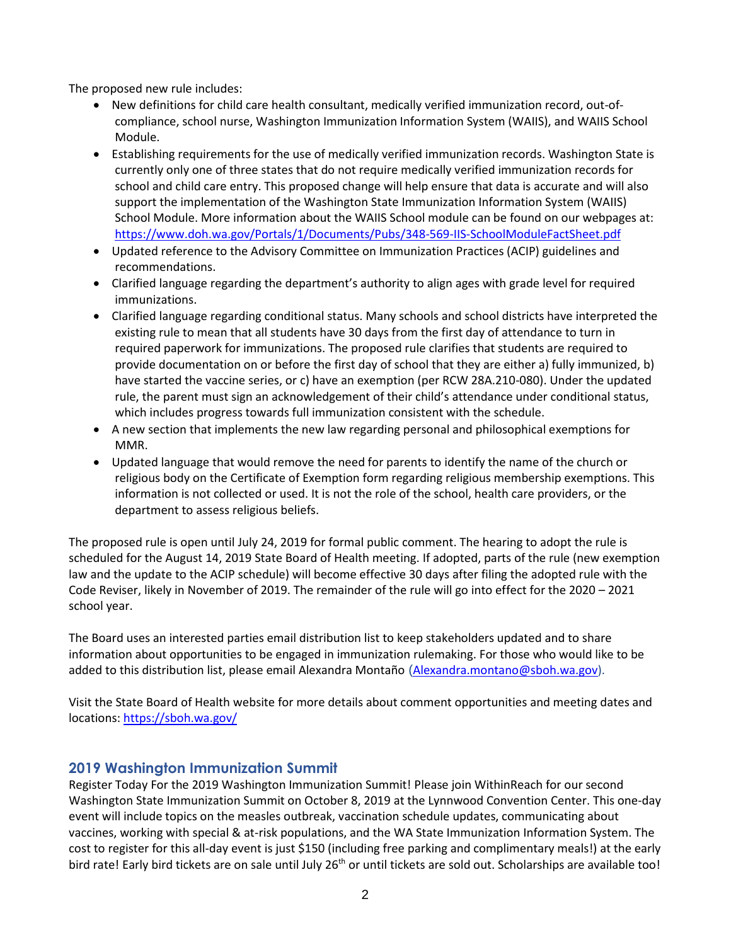The proposed new rule includes:

- New definitions for child care health consultant, medically verified immunization record, out-ofcompliance, school nurse, Washington Immunization Information System (WAIIS), and WAIIS School Module.
- Establishing requirements for the use of medically verified immunization records. Washington State is currently only one of three states that do not require medically verified immunization records for school and child care entry. This proposed change will help ensure that data is accurate and will also support the implementation of the Washington State Immunization Information System (WAIIS) School Module. More information about the WAIIS School module can be found on our webpages at: <https://www.doh.wa.gov/Portals/1/Documents/Pubs/348-569-IIS-SchoolModuleFactSheet.pdf>
- Updated reference to the Advisory Committee on Immunization Practices (ACIP) guidelines and recommendations.
- Clarified language regarding the department's authority to align ages with grade level for required immunizations.
- Clarified language regarding conditional status. Many schools and school districts have interpreted the existing rule to mean that all students have 30 days from the first day of attendance to turn in required paperwork for immunizations. The proposed rule clarifies that students are required to provide documentation on or before the first day of school that they are either a) fully immunized, b) have started the vaccine series, or c) have an exemption (per RCW 28A.210-080). Under the updated rule, the parent must sign an acknowledgement of their child's attendance under conditional status, which includes progress towards full immunization consistent with the schedule.
- A new section that implements the new law regarding personal and philosophical exemptions for MMR.
- Updated language that would remove the need for parents to identify the name of the church or religious body on the Certificate of Exemption form regarding religious membership exemptions. This information is not collected or used. It is not the role of the school, health care providers, or the department to assess religious beliefs.

The proposed rule is open until July 24, 2019 for formal public comment. The hearing to adopt the rule is scheduled for the August 14, 2019 State Board of Health meeting. If adopted, parts of the rule (new exemption law and the update to the ACIP schedule) will become effective 30 days after filing the adopted rule with the Code Reviser, likely in November of 2019. The remainder of the rule will go into effect for the 2020 – 2021 school year.

The Board uses an interested parties email distribution list to keep stakeholders updated and to share information about opportunities to be engaged in immunization rulemaking. For those who would like to be added to this distribution list, please email Alexandra Montaño ([Alexandra.montano@sboh.wa.gov\)](mailto:Alexandra.montano@sboh.wa.gov).

Visit the State Board of Health website for more details about comment opportunities and meeting dates and locations[: https://sboh.wa.gov/](https://sboh.wa.gov/)

# **2019 Washington Immunization Summit**

Register Today For the 2019 Washington Immunization Summit! Please join WithinReach for our second Washington State Immunization Summit on October 8, 2019 at the Lynnwood Convention Center. This one-day event will include topics on the measles outbreak, vaccination schedule updates, communicating about vaccines, working with special & at-risk populations, and the WA State Immunization Information System. The cost to register for this all-day event is just \$150 (including free parking and complimentary meals!) at the early bird rate! Early bird tickets are on sale until July 26<sup>th</sup> or until tickets are sold out. Scholarships are available too!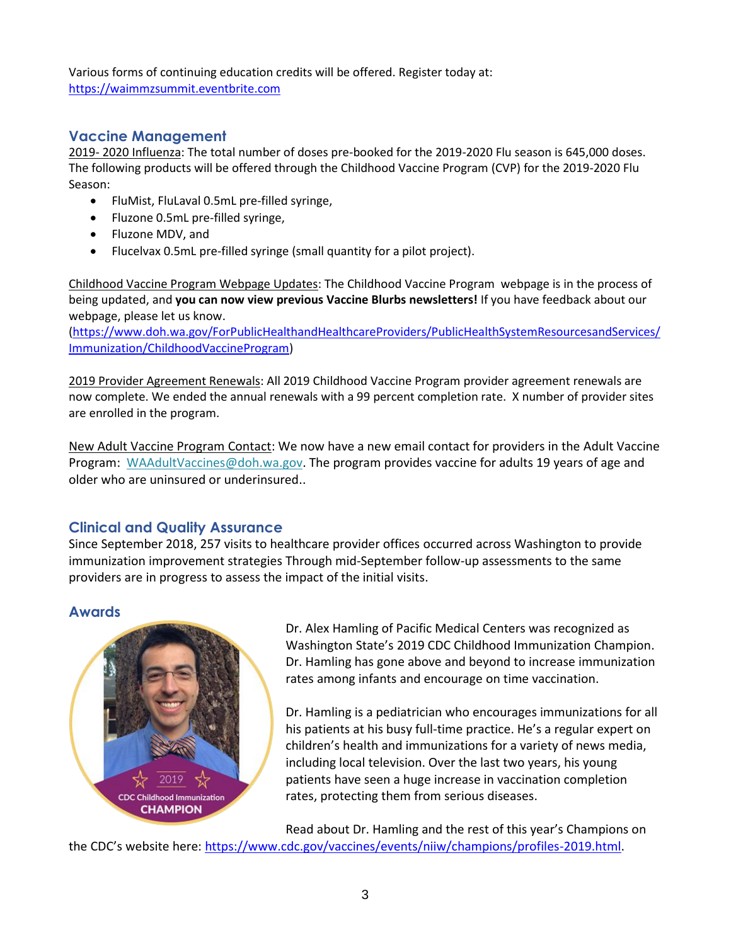Various forms of continuing education credits will be offered. Register today at: [https://waimmzsummit.eventbrite.com](https://waimmzsummit.eventbrite.com/)

# **Vaccine Management**

2019- 2020 Influenza: The total number of doses pre-booked for the 2019-2020 Flu season is 645,000 doses. The following products will be offered through the Childhood Vaccine Program (CVP) for the 2019-2020 Flu Season:

- FluMist, FluLaval 0.5mL pre-filled syringe,
- Fluzone 0.5mL pre-filled syringe,
- Fluzone MDV, and
- Flucelvax 0.5mL pre-filled syringe (small quantity for a pilot project).

Childhood Vaccine Program Webpage Updates: The Childhood Vaccine Program webpage is in the process of being updated, and **you can now view previous Vaccine Blurbs newsletters!** If you have feedback about our webpage, please [let us know.](mailto:WAChildhoodVaccines@doh.wa.gov)

[\(https://www.doh.wa.gov/ForPublicHealthandHealthcareProviders/PublicHealthSystemResourcesandServices/](https://www.doh.wa.gov/ForPublicHealthandHealthcareProviders/PublicHealthSystemResourcesandServices/Immunization/ChildhoodVaccineProgram) [Immunization/ChildhoodVaccineProgram\)](https://www.doh.wa.gov/ForPublicHealthandHealthcareProviders/PublicHealthSystemResourcesandServices/Immunization/ChildhoodVaccineProgram)

2019 Provider Agreement Renewals: All 2019 Childhood Vaccine Program provider agreement renewals are now complete. We ended the annual renewals with a 99 percent completion rate. X number of provider sites are enrolled in the program.

New Adult Vaccine Program Contact: We now have a new email contact for providers in the Adult Vaccine Program: [WAAdultVaccines@doh.wa.gov.](mailto:WAAdultVaccines@doh.wa.gov) The program provides vaccine for adults 19 years of age and older who are uninsured or underinsured..

# **Clinical and Quality Assurance**

Since September 2018, 257 visits to healthcare provider offices occurred across Washington to provide immunization improvement strategies Through mid-September follow-up assessments to the same providers are in progress to assess the impact of the initial visits.

### **Awards**



Dr. Alex Hamling of Pacific Medical Centers was recognized as Washington State's 2019 CDC Childhood Immunization Champion. Dr. Hamling has gone above and beyond to increase immunization rates among infants and encourage on time vaccination.

Dr. Hamling is a pediatrician who encourages immunizations for all his patients at his busy full-time practice. He's a regular expert on children's health and immunizations for a variety of news media, including local television. Over the last two years, his young patients have seen a huge increase in vaccination completion rates, protecting them from serious diseases.

Read about Dr. Hamling and the rest of this year's Champions on the CDC's website here: [https://www.cdc.gov/vaccines/events/niiw/champions/profiles-2019.html.](https://www.cdc.gov/vaccines/events/niiw/champions/profiles-2019.html)